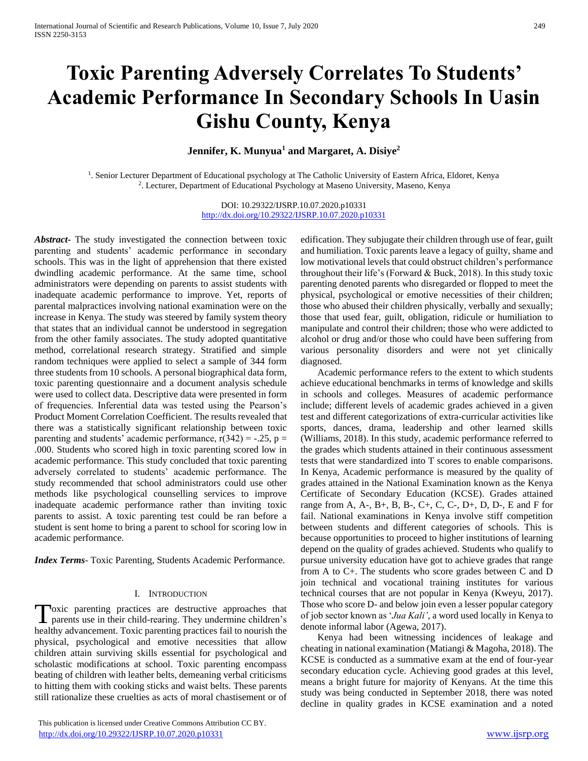# **Toxic Parenting Adversely Correlates To Students' Academic Performance In Secondary Schools In Uasin Gishu County, Kenya**

## **Jennifer, K. Munyua<sup>1</sup> and Margaret, A. Disiye<sup>2</sup>**

<sup>1</sup>. Senior Lecturer Department of Educational psychology at The Catholic University of Eastern Africa, Eldoret, Kenya 2 . Lecturer, Department of Educational Psychology at Maseno University, Maseno, Kenya

> DOI: 10.29322/IJSRP.10.07.2020.p10331 <http://dx.doi.org/10.29322/IJSRP.10.07.2020.p10331>

*Abstract***-** The study investigated the connection between toxic parenting and students' academic performance in secondary schools. This was in the light of apprehension that there existed dwindling academic performance. At the same time, school administrators were depending on parents to assist students with inadequate academic performance to improve. Yet, reports of parental malpractices involving national examination were on the increase in Kenya. The study was steered by family system theory that states that an individual cannot be understood in segregation from the other family associates. The study adopted quantitative method, correlational research strategy. Stratified and simple random techniques were applied to select a sample of 344 form three students from 10 schools. A personal biographical data form, toxic parenting questionnaire and a document analysis schedule were used to collect data. Descriptive data were presented in form of frequencies. Inferential data was tested using the Pearson's Product Moment Correlation Coefficient. The results revealed that there was a statistically significant relationship between toxic parenting and students' academic performance,  $r(342) = -.25$ ,  $p =$ .000. Students who scored high in toxic parenting scored low in academic performance. This study concluded that toxic parenting adversely correlated to students' academic performance. The study recommended that school administrators could use other methods like psychological counselling services to improve inadequate academic performance rather than inviting toxic parents to assist. A toxic parenting test could be ran before a student is sent home to bring a parent to school for scoring low in academic performance.

*Index Terms*- Toxic Parenting, Students Academic Performance.

#### I. INTRODUCTION

loxic parenting practices are destructive approaches that Toxic parenting practices are destructive approaches that parents use in their child-rearing. They undermine children's healthy advancement. Toxic parenting practices fail to nourish the physical, psychological and emotive necessities that allow children attain surviving skills essential for psychological and scholastic modifications at school. Toxic parenting encompass beating of children with leather belts, demeaning verbal criticisms to hitting them with cooking sticks and waist belts. These parents still rationalize these cruelties as acts of moral chastisement or of

edification. They subjugate their children through use of fear, guilt and humiliation. Toxic parents leave a legacy of guilty, shame and low motivational levels that could obstruct children's performance throughout their life's (Forward & Buck, 2018). In this study toxic parenting denoted parents who disregarded or flopped to meet the physical, psychological or emotive necessities of their children; those who abused their children physically, verbally and sexually; those that used fear, guilt, obligation, ridicule or humiliation to manipulate and control their children; those who were addicted to alcohol or drug and/or those who could have been suffering from various personality disorders and were not yet clinically diagnosed.

 Academic performance refers to the extent to which students achieve educational benchmarks in terms of knowledge and skills in schools and colleges. Measures of academic performance include; different levels of academic grades achieved in a given test and different categorizations of extra-curricular activities like sports, dances, drama, leadership and other learned skills (Williams, 2018). In this study, academic performance referred to the grades which students attained in their continuous assessment tests that were standardized into T scores to enable comparisons. In Kenya, Academic performance is measured by the quality of grades attained in the National Examination known as the Kenya Certificate of Secondary Education (KCSE). Grades attained range from A, A-, B+, B, B-, C+, C, C-, D+, D, D-, E and F for fail. National examinations in Kenya involve stiff competition between students and different categories of schools. This is because opportunities to proceed to higher institutions of learning depend on the quality of grades achieved. Students who qualify to pursue university education have got to achieve grades that range from A to C+. The students who score grades between C and D join technical and vocational training institutes for various technical courses that are not popular in Kenya (Kweyu, 2017). Those who score D- and below join even a lesser popular category of job sector known as '*Jua Kali'*, a word used locally in Kenya to denote informal labor (Agewa, 2017).

 Kenya had been witnessing incidences of leakage and cheating in national examination (Matiangi & Magoha, 2018). The KCSE is conducted as a summative exam at the end of four-year secondary education cycle. Achieving good grades at this level, means a bright future for majority of Kenyans. At the time this study was being conducted in September 2018, there was noted decline in quality grades in KCSE examination and a noted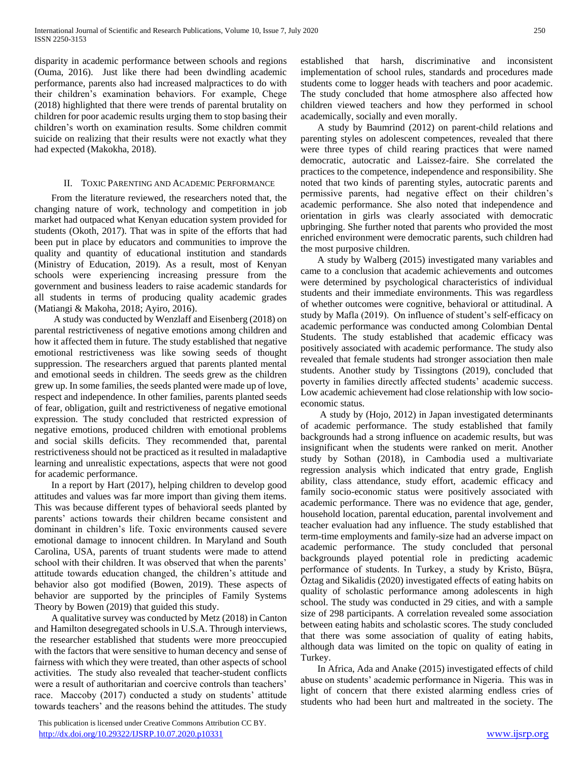disparity in academic performance between schools and regions (Ouma, 2016). Just like there had been dwindling academic performance, parents also had increased malpractices to do with their children's examination behaviors. For example, Chege (2018) highlighted that there were trends of parental brutality on children for poor academic results urging them to stop basing their children's worth on examination results. Some children commit suicide on realizing that their results were not exactly what they had expected (Makokha, 2018).

## II. TOXIC PARENTING AND ACADEMIC PERFORMANCE

 From the literature reviewed, the researchers noted that, the changing nature of work, technology and competition in job market had outpaced what Kenyan education system provided for students (Okoth, 2017). That was in spite of the efforts that had been put in place by educators and communities to improve the quality and quantity of educational institution and standards (Ministry of Education, 2019). As a result, most of Kenyan schools were experiencing increasing pressure from the government and business leaders to raise academic standards for all students in terms of producing quality academic grades (Matiangi & Makoha, 2018; Ayiro, 2016).

 A study was conducted by Wenzlaff and Eisenberg (2018) on parental restrictiveness of negative emotions among children and how it affected them in future. The study established that negative emotional restrictiveness was like sowing seeds of thought suppression. The researchers argued that parents planted mental and emotional seeds in children. The seeds grew as the children grew up. In some families, the seeds planted were made up of love, respect and independence. In other families, parents planted seeds of fear, obligation, guilt and restrictiveness of negative emotional expression. The study concluded that restricted expression of negative emotions, produced children with emotional problems and social skills deficits. They recommended that, parental restrictiveness should not be practiced as it resulted in maladaptive learning and unrealistic expectations, aspects that were not good for academic performance.

 In a report by Hart (2017), helping children to develop good attitudes and values was far more import than giving them items. This was because different types of behavioral seeds planted by parents' actions towards their children became consistent and dominant in children's life. Toxic environments caused severe emotional damage to innocent children. In Maryland and South Carolina, USA, parents of truant students were made to attend school with their children. It was observed that when the parents' attitude towards education changed, the children's attitude and behavior also got modified (Bowen, 2019). These aspects of behavior are supported by the principles of Family Systems Theory by Bowen (2019) that guided this study.

 A qualitative survey was conducted by Metz (2018) in Canton and Hamilton desegregated schools in U.S.A. Through interviews, the researcher established that students were more preoccupied with the factors that were sensitive to human decency and sense of fairness with which they were treated, than other aspects of school activities. The study also revealed that teacher-student conflicts were a result of authoritarian and coercive controls than teachers' race. Maccoby (2017) conducted a study on students' attitude towards teachers' and the reasons behind the attitudes. The study

 This publication is licensed under Creative Commons Attribution CC BY. <http://dx.doi.org/10.29322/IJSRP.10.07.2020.p10331> [www.ijsrp.org](http://ijsrp.org/)

established that harsh, discriminative and inconsistent implementation of school rules, standards and procedures made students come to logger heads with teachers and poor academic. The study concluded that home atmosphere also affected how children viewed teachers and how they performed in school academically, socially and even morally.

 A study by Baumrind (2012) on parent-child relations and parenting styles on adolescent competences, revealed that there were three types of child rearing practices that were named democratic, autocratic and Laissez-faire. She correlated the practices to the competence, independence and responsibility. She noted that two kinds of parenting styles, autocratic parents and permissive parents, had negative effect on their children's academic performance. She also noted that independence and orientation in girls was clearly associated with democratic upbringing. She further noted that parents who provided the most enriched environment were democratic parents, such children had the most purposive children.

 A study by Walberg (2015) investigated many variables and came to a conclusion that academic achievements and outcomes were determined by psychological characteristics of individual students and their immediate environments. This was regardless of whether outcomes were cognitive, behavioral or attitudinal. A study by Mafla (2019). On influence of student's self-efficacy on academic performance was conducted among Colombian Dental Students. The study established that academic efficacy was positively associated with academic performance. The study also revealed that female students had stronger association then male students. Another study by Tissingtons (2019), concluded that poverty in families directly affected students' academic success. Low academic achievement had close relationship with low socioeconomic status.

 A study by (Hojo, 2012) in Japan investigated determinants of academic performance. The study established that family backgrounds had a strong influence on academic results, but was insignificant when the students were ranked on merit. Another study by Sothan (2018), in Cambodia used a multivariate regression analysis which indicated that entry grade, English ability, class attendance, study effort, academic efficacy and family socio-economic status were positively associated with academic performance. There was no evidence that age, gender, household location, parental education, parental involvement and teacher evaluation had any influence. The study established that term-time employments and family-size had an adverse impact on academic performance. The study concluded that personal backgrounds played potential role in predicting academic performance of students. In Turkey, a study by Kristo, Büşra, Öztag and Sikalidis (2020) investigated effects of eating habits on quality of scholastic performance among adolescents in high school. The study was conducted in 29 cities, and with a sample size of 298 participants. A correlation revealed some association between eating habits and scholastic scores. The study concluded that there was some association of quality of eating habits, although data was limited on the topic on quality of eating in Turkey.

 In Africa, Ada and Anake (2015) investigated effects of child abuse on students' academic performance in Nigeria. This was in light of concern that there existed alarming endless cries of students who had been hurt and maltreated in the society. The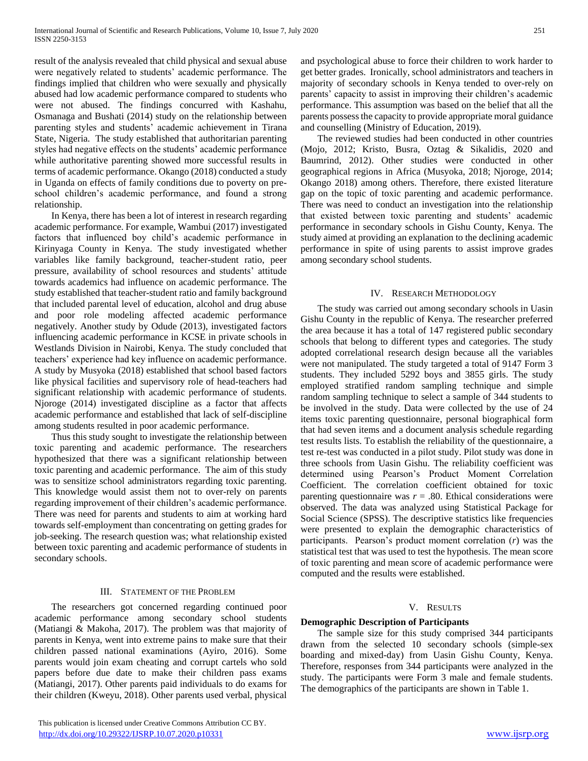result of the analysis revealed that child physical and sexual abuse were negatively related to students' academic performance. The findings implied that children who were sexually and physically abused had low academic performance compared to students who were not abused. The findings concurred with Kashahu, Osmanaga and Bushati (2014) study on the relationship between parenting styles and students' academic achievement in Tirana State, Nigeria. The study established that authoritarian parenting styles had negative effects on the students' academic performance while authoritative parenting showed more successful results in terms of academic performance. Okango (2018) conducted a study in Uganda on effects of family conditions due to poverty on preschool children's academic performance, and found a strong relationship.

 In Kenya, there has been a lot of interest in research regarding academic performance. For example, Wambui (2017) investigated factors that influenced boy child's academic performance in Kirinyaga County in Kenya. The study investigated whether variables like family background, teacher-student ratio, peer pressure, availability of school resources and students' attitude towards academics had influence on academic performance. The study established that teacher-student ratio and family background that included parental level of education, alcohol and drug abuse and poor role modeling affected academic performance negatively. Another study by Odude (2013), investigated factors influencing academic performance in KCSE in private schools in Westlands Division in Nairobi, Kenya. The study concluded that teachers' experience had key influence on academic performance. A study by Musyoka (2018) established that school based factors like physical facilities and supervisory role of head-teachers had significant relationship with academic performance of students. Njoroge (2014) investigated discipline as a factor that affects academic performance and established that lack of self-discipline among students resulted in poor academic performance.

 Thus this study sought to investigate the relationship between toxic parenting and academic performance. The researchers hypothesized that there was a significant relationship between toxic parenting and academic performance. The aim of this study was to sensitize school administrators regarding toxic parenting. This knowledge would assist them not to over-rely on parents regarding improvement of their children's academic performance. There was need for parents and students to aim at working hard towards self-employment than concentrating on getting grades for job-seeking. The research question was; what relationship existed between toxic parenting and academic performance of students in secondary schools.

## III. STATEMENT OF THE PROBLEM

 The researchers got concerned regarding continued poor academic performance among secondary school students (Matiangi & Makoha, 2017). The problem was that majority of parents in Kenya, went into extreme pains to make sure that their children passed national examinations (Ayiro, 2016). Some parents would join exam cheating and corrupt cartels who sold papers before due date to make their children pass exams (Matiangi, 2017). Other parents paid individuals to do exams for their children (Kweyu, 2018). Other parents used verbal, physical

and psychological abuse to force their children to work harder to get better grades. Ironically, school administrators and teachers in majority of secondary schools in Kenya tended to over-rely on parents' capacity to assist in improving their children's academic performance. This assumption was based on the belief that all the parents possess the capacity to provide appropriate moral guidance and counselling (Ministry of Education, 2019).

 The reviewed studies had been conducted in other countries (Mojo, 2012; Kristo, Busra, Oztag & Sikalidis, 2020 and Baumrind, 2012). Other studies were conducted in other geographical regions in Africa (Musyoka, 2018; Njoroge, 2014; Okango 2018) among others. Therefore, there existed literature gap on the topic of toxic parenting and academic performance. There was need to conduct an investigation into the relationship that existed between toxic parenting and students' academic performance in secondary schools in Gishu County, Kenya. The study aimed at providing an explanation to the declining academic performance in spite of using parents to assist improve grades among secondary school students.

## IV. RESEARCH METHODOLOGY

 The study was carried out among secondary schools in Uasin Gishu County in the republic of Kenya. The researcher preferred the area because it has a total of 147 registered public secondary schools that belong to different types and categories. The study adopted correlational research design because all the variables were not manipulated. The study targeted a total of 9147 Form 3 students. They included 5292 boys and 3855 girls. The study employed stratified random sampling technique and simple random sampling technique to select a sample of 344 students to be involved in the study. Data were collected by the use of 24 items toxic parenting questionnaire, personal biographical form that had seven items and a document analysis schedule regarding test results lists. To establish the reliability of the questionnaire, a test re-test was conducted in a pilot study. Pilot study was done in three schools from Uasin Gishu. The reliability coefficient was determined using Pearson's Product Moment Correlation Coefficient. The correlation coefficient obtained for toxic parenting questionnaire was  $r = .80$ . Ethical considerations were observed. The data was analyzed using Statistical Package for Social Science (SPSS). The descriptive statistics like frequencies were presented to explain the demographic characteristics of participants. Pearson's product moment correlation (*r*) was the statistical test that was used to test the hypothesis. The mean score of toxic parenting and mean score of academic performance were computed and the results were established.

## V. RESULTS

## **Demographic Description of Participants**

 The sample size for this study comprised 344 participants drawn from the selected 10 secondary schools (simple-sex boarding and mixed-day) from Uasin Gishu County, Kenya. Therefore, responses from 344 participants were analyzed in the study. The participants were Form 3 male and female students. The demographics of the participants are shown in Table 1.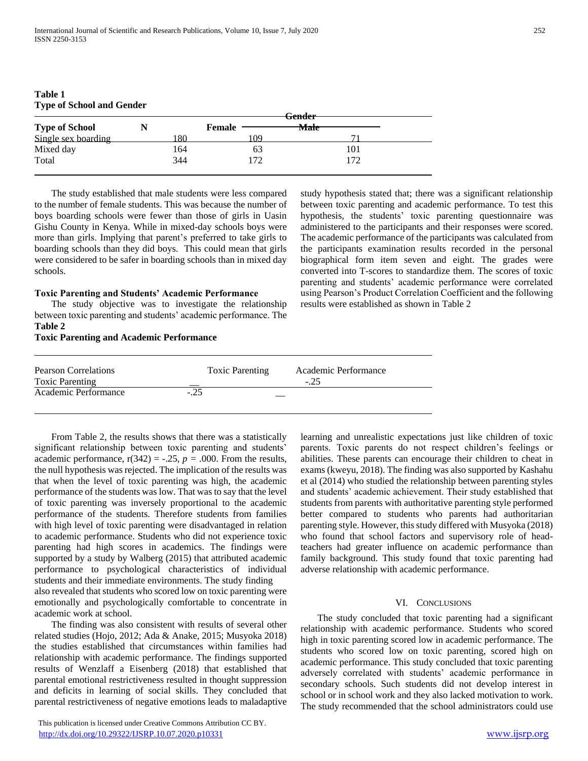|                       | <del>Gender</del> |               |                 |  |  |
|-----------------------|-------------------|---------------|-----------------|--|--|
| <b>Type of School</b> |                   | <b>Female</b> | <del>Male</del> |  |  |
| Single sex boarding   | 80                | 09            |                 |  |  |
| Mixed day             | 164               | 63            | 101             |  |  |
| Total                 | 344               | 172           | 172             |  |  |
|                       |                   |               |                 |  |  |

**Table 1 Type of School and Gender**

 The study established that male students were less compared to the number of female students. This was because the number of boys boarding schools were fewer than those of girls in Uasin Gishu County in Kenya. While in mixed-day schools boys were more than girls. Implying that parent's preferred to take girls to boarding schools than they did boys. This could mean that girls were considered to be safer in boarding schools than in mixed day schools.

#### **Toxic Parenting and Students' Academic Performance**

 The study objective was to investigate the relationship between toxic parenting and students' academic performance. The **Table 2** 

#### **Toxic Parenting and Academic Performance**

study hypothesis stated that; there was a significant relationship between toxic parenting and academic performance. To test this hypothesis, the students' toxic parenting questionnaire was administered to the participants and their responses were scored. The academic performance of the participants was calculated from the participants examination results recorded in the personal biographical form item seven and eight. The grades were converted into T-scores to standardize them. The scores of toxic parenting and students' academic performance were correlated using Pearson's Product Correlation Coefficient and the following results were established as shown in Table 2

| Pearson Correlations<br><b>Toxic Parenting</b> | <b>Toxic Parenting</b> | Academic Performance<br>$-.25$ |
|------------------------------------------------|------------------------|--------------------------------|
| Academic Performance                           | $-.25$                 |                                |

 From Table 2, the results shows that there was a statistically significant relationship between toxic parenting and students' academic performance,  $r(342) = -.25$ ,  $p = .000$ . From the results, the null hypothesis was rejected. The implication of the results was that when the level of toxic parenting was high, the academic performance of the students was low. That was to say that the level of toxic parenting was inversely proportional to the academic performance of the students. Therefore students from families with high level of toxic parenting were disadvantaged in relation to academic performance. Students who did not experience toxic parenting had high scores in academics. The findings were supported by a study by Walberg (2015) that attributed academic performance to psychological characteristics of individual students and their immediate environments. The study finding also revealed that students who scored low on toxic parenting were emotionally and psychologically comfortable to concentrate in academic work at school.

 The finding was also consistent with results of several other related studies (Hojo, 2012; Ada & Anake, 2015; Musyoka 2018) the studies established that circumstances within families had relationship with academic performance. The findings supported results of Wenzlaff a Eisenberg (2018) that established that parental emotional restrictiveness resulted in thought suppression and deficits in learning of social skills. They concluded that parental restrictiveness of negative emotions leads to maladaptive

 This publication is licensed under Creative Commons Attribution CC BY. <http://dx.doi.org/10.29322/IJSRP.10.07.2020.p10331> [www.ijsrp.org](http://ijsrp.org/)

learning and unrealistic expectations just like children of toxic parents. Toxic parents do not respect children's feelings or abilities. These parents can encourage their children to cheat in exams (kweyu, 2018). The finding was also supported by Kashahu et al (2014) who studied the relationship between parenting styles and students' academic achievement. Their study established that students from parents with authoritative parenting style performed better compared to students who parents had authoritarian parenting style. However, this study differed with Musyoka (2018) who found that school factors and supervisory role of headteachers had greater influence on academic performance than family background. This study found that toxic parenting had adverse relationship with academic performance.

#### VI. CONCLUSIONS

 The study concluded that toxic parenting had a significant relationship with academic performance. Students who scored high in toxic parenting scored low in academic performance. The students who scored low on toxic parenting, scored high on academic performance. This study concluded that toxic parenting adversely correlated with students' academic performance in secondary schools. Such students did not develop interest in school or in school work and they also lacked motivation to work. The study recommended that the school administrators could use